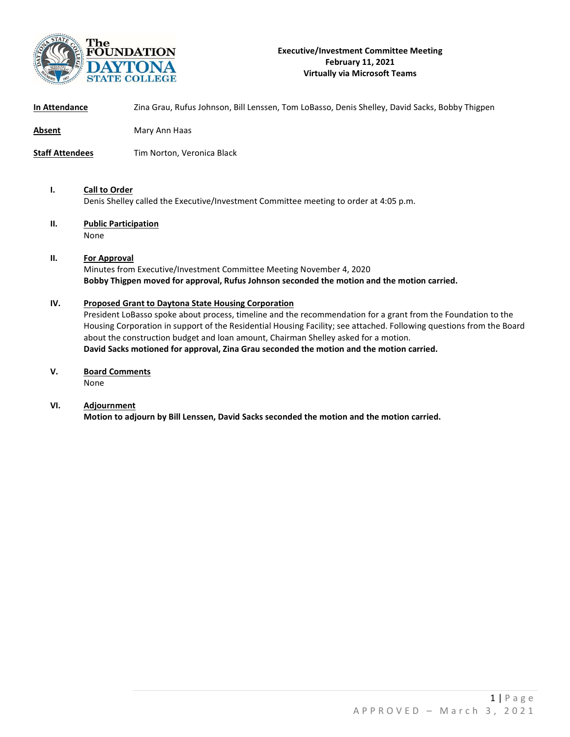

## Executive/Investment Committee Meeting February 11, 2021 Virtually via Microsoft Teams

| Absent                 | Mary Ann Haas                                                                                                                                                                                                                                                                                                                                                                                                                                                                          |
|------------------------|----------------------------------------------------------------------------------------------------------------------------------------------------------------------------------------------------------------------------------------------------------------------------------------------------------------------------------------------------------------------------------------------------------------------------------------------------------------------------------------|
| <b>Staff Attendees</b> | Tim Norton, Veronica Black                                                                                                                                                                                                                                                                                                                                                                                                                                                             |
| Ι.                     | <b>Call to Order</b><br>Denis Shelley called the Executive/Investment Committee meeting to order at 4:05 p.m.                                                                                                                                                                                                                                                                                                                                                                          |
| II.                    | <b>Public Participation</b><br>None                                                                                                                                                                                                                                                                                                                                                                                                                                                    |
| П.                     | <b>For Approval</b><br>Minutes from Executive/Investment Committee Meeting November 4, 2020<br>Bobby Thigpen moved for approval, Rufus Johnson seconded the motion and the motion carried.                                                                                                                                                                                                                                                                                             |
| IV.                    | <b>Proposed Grant to Daytona State Housing Corporation</b><br>President LoBasso spoke about process, timeline and the recommendation for a grant from the Foundation to the<br>Housing Corporation in support of the Residential Housing Facility; see attached. Following questions from the Board<br>about the construction budget and loan amount, Chairman Shelley asked for a motion.<br>David Sacks motioned for approval, Zina Grau seconded the motion and the motion carried. |
| v.                     | <b>Board Comments</b><br>None                                                                                                                                                                                                                                                                                                                                                                                                                                                          |

In Attendance Zina Grau, Rufus Johnson, Bill Lenssen, Tom LoBasso, Denis Shelley, David Sacks, Bobby Thigpen

VI. Adjournment Motion to adjourn by Bill Lenssen, David Sacks seconded the motion and the motion carried.